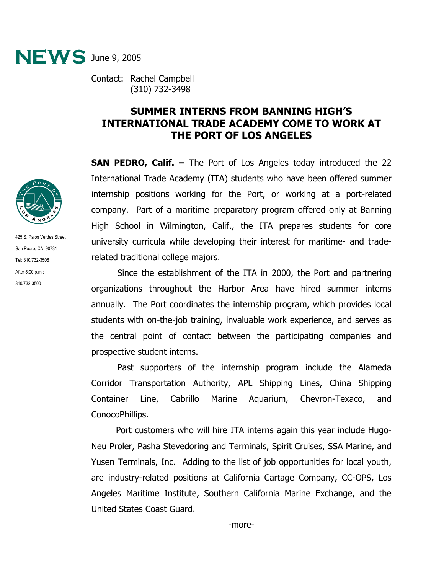

Contact: Rachel Campbell (310) 732-3498

## **SUMMER INTERNS FROM BANNING HIGH'S INTERNATIONAL TRADE ACADEMY COME TO WORK AT THE PORT OF LOS ANGELES**

**SAN PEDRO, Calif. –** The Port of Los Angeles today introduced the 22 International Trade Academy (ITA) students who have been offered summer internship positions working for the Port, or working at a port-related company. Part of a maritime preparatory program offered only at Banning High School in Wilmington, Calif., the ITA prepares students for core university curricula while developing their interest for maritime- and traderelated traditional college majors.

Since the establishment of the ITA in 2000, the Port and partnering organizations throughout the Harbor Area have hired summer interns annually. The Port coordinates the internship program, which provides local students with on-the-job training, invaluable work experience, and serves as the central point of contact between the participating companies and prospective student interns.

Past supporters of the internship program include the Alameda Corridor Transportation Authority, APL Shipping Lines, China Shipping Container Line, Cabrillo Marine Aquarium, Chevron-Texaco, and ConocoPhillips.

 Port customers who will hire ITA interns again this year include Hugo-Neu Proler, Pasha Stevedoring and Terminals, Spirit Cruises, SSA Marine, and Yusen Terminals, Inc. Adding to the list of job opportunities for local youth, are industry-related positions at California Cartage Company, CC-OPS, Los Angeles Maritime Institute, Southern California Marine Exchange, and the United States Coast Guard.



425 S. Palos Verdes Street San Pedro, CA 90731 Tel: 310/732-3508 After 5:00 p.m.: 310/732-3500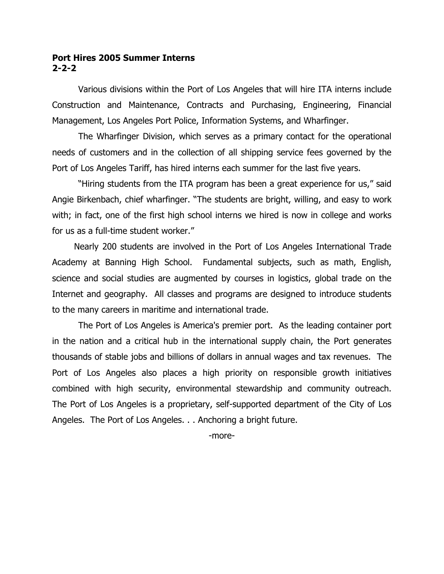## **Port Hires 2005 Summer Interns 2-2-2**

Various divisions within the Port of Los Angeles that will hire ITA interns include Construction and Maintenance, Contracts and Purchasing, Engineering, Financial Management, Los Angeles Port Police, Information Systems, and Wharfinger.

The Wharfinger Division, which serves as a primary contact for the operational needs of customers and in the collection of all shipping service fees governed by the Port of Los Angeles Tariff, has hired interns each summer for the last five years.

"Hiring students from the ITA program has been a great experience for us," said Angie Birkenbach, chief wharfinger. "The students are bright, willing, and easy to work with; in fact, one of the first high school interns we hired is now in college and works for us as a full-time student worker."

 Nearly 200 students are involved in the Port of Los Angeles International Trade Academy at Banning High School. Fundamental subjects, such as math, English, science and social studies are augmented by courses in logistics, global trade on the Internet and geography. All classes and programs are designed to introduce students to the many careers in maritime and international trade.

The Port of Los Angeles is America's premier port. As the leading container port in the nation and a critical hub in the international supply chain, the Port generates thousands of stable jobs and billions of dollars in annual wages and tax revenues. The Port of Los Angeles also places a high priority on responsible growth initiatives combined with high security, environmental stewardship and community outreach. The Port of Los Angeles is a proprietary, self-supported department of the City of Los Angeles. The Port of Los Angeles. . . Anchoring a bright future.

-more-